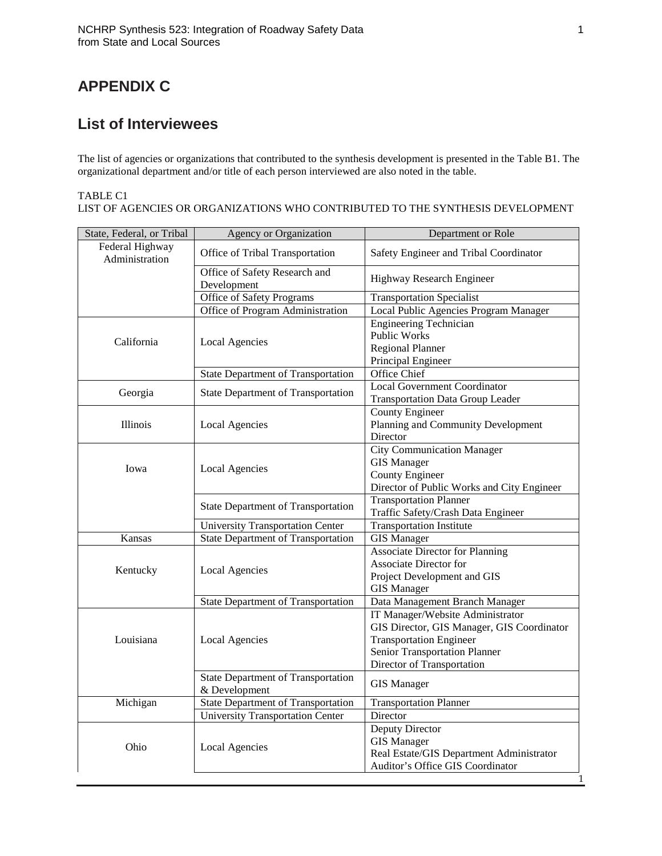## **APPENDIX C**

## **List of Interviewees**

The list of agencies or organizations that contributed to the synthesis development is presented in the Table B1. The organizational department and/or title of each person interviewed are also noted in the table.

## TABLE C1

LIST OF AGENCIES OR ORGANIZATIONS WHO CONTRIBUTED TO THE SYNTHESIS DEVELOPMENT

| State, Federal, or Tribal         | <b>Agency or Organization</b>                              | Department or Role                                                                                                                                                              |
|-----------------------------------|------------------------------------------------------------|---------------------------------------------------------------------------------------------------------------------------------------------------------------------------------|
| Federal Highway<br>Administration | Office of Tribal Transportation                            | Safety Engineer and Tribal Coordinator                                                                                                                                          |
|                                   | Office of Safety Research and<br>Development               | Highway Research Engineer                                                                                                                                                       |
|                                   | Office of Safety Programs                                  | <b>Transportation Specialist</b>                                                                                                                                                |
|                                   | Office of Program Administration                           | Local Public Agencies Program Manager                                                                                                                                           |
| California                        | Local Agencies                                             | <b>Engineering Technician</b><br><b>Public Works</b><br><b>Regional Planner</b><br>Principal Engineer                                                                           |
|                                   | <b>State Department of Transportation</b>                  | Office Chief                                                                                                                                                                    |
| Georgia                           | <b>State Department of Transportation</b>                  | <b>Local Government Coordinator</b><br><b>Transportation Data Group Leader</b>                                                                                                  |
| <b>Illinois</b>                   | <b>Local Agencies</b>                                      | <b>County Engineer</b><br>Planning and Community Development<br>Director                                                                                                        |
| Iowa                              | <b>Local Agencies</b>                                      | <b>City Communication Manager</b><br><b>GIS Manager</b><br><b>County Engineer</b><br>Director of Public Works and City Engineer                                                 |
|                                   | <b>State Department of Transportation</b>                  | <b>Transportation Planner</b><br>Traffic Safety/Crash Data Engineer                                                                                                             |
|                                   | <b>University Transportation Center</b>                    | <b>Transportation Institute</b>                                                                                                                                                 |
| Kansas                            | <b>State Department of Transportation</b>                  | <b>GIS Manager</b>                                                                                                                                                              |
| Kentucky                          | <b>Local Agencies</b>                                      | <b>Associate Director for Planning</b><br>Associate Director for<br>Project Development and GIS<br><b>GIS Manager</b>                                                           |
|                                   | <b>State Department of Transportation</b>                  | Data Management Branch Manager                                                                                                                                                  |
| Louisiana                         | <b>Local Agencies</b>                                      | IT Manager/Website Administrator<br>GIS Director, GIS Manager, GIS Coordinator<br><b>Transportation Engineer</b><br>Senior Transportation Planner<br>Director of Transportation |
|                                   | <b>State Department of Transportation</b><br>& Development | <b>GIS Manager</b>                                                                                                                                                              |
| Michigan                          | <b>State Department of Transportation</b>                  | <b>Transportation Planner</b>                                                                                                                                                   |
|                                   | <b>University Transportation Center</b>                    | Director                                                                                                                                                                        |
| Ohio                              | <b>Local Agencies</b>                                      | Deputy Director<br><b>GIS Manager</b><br>Real Estate/GIS Department Administrator<br>Auditor's Office GIS Coordinator<br>1                                                      |